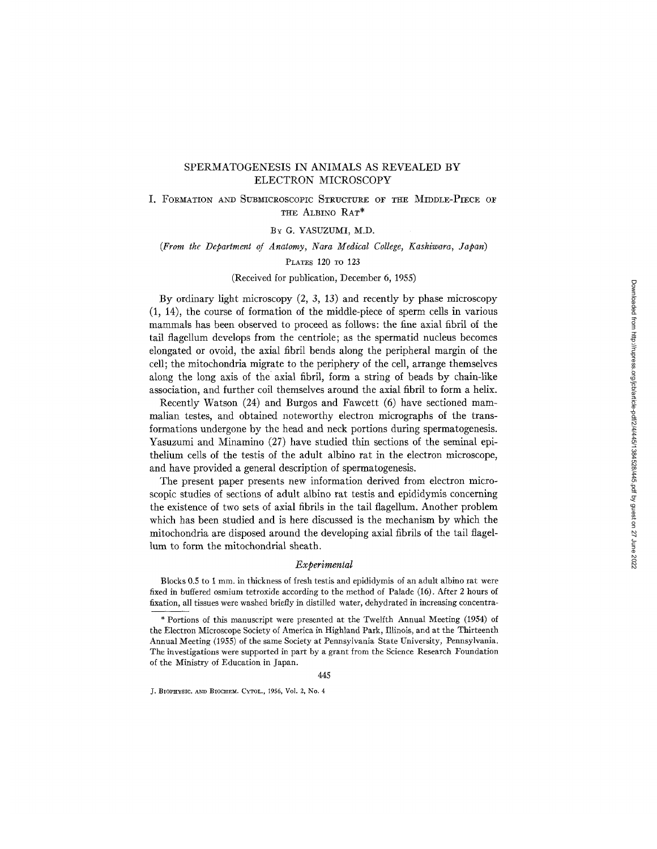## SPERMATOGENESIS IN ANIMALS AS REVEALED BY ELECTRON MICROSCOPY

I. FORMATION AND SUBMICROSCOPIC STRUCTURE OF THE MIDDLE-PIECE OF THE ALBINO RAT\*

## BY G. YASUZUMI, M.D.

## *(From the Department of Anatomy, Nara Medical College, Kashiwara, Japan)*  PLATES 120 TO 123

# (Received for publication, December 6, 1955)

By ordinary light microscopy  $(2, 3, 13)$  and recently by phase microscopy (1, 14), the course of formation of the middle-piece of sperm cells in various mammals has been observed to proceed as follows: the fine axial fibril of the tail flagellum develops from the centriole; as the spermatid nucleus becomes elongated or ovoid, the axial fibril bends along the peripheral margin of the cell; the mitochondria migrate to the periphery of the cell, arrange themselves along the long axis of the axial fibril, form a string of beads by chain-like association, and further coil themselves around the axial fibril to form a helix.

Recently Watson (24) and Burgos and Fawcett (6) have sectioned mammalian testes, and obtained noteworthy electron micrographs of the transformations undergone by the head and neck portions during spermatogenesis. Yasuzumi and Minamino (27) have studied thin sections of the seminal epithelium cells of the testis of the adult albino rat in the electron microscope, and have provided a general description of spermatogenesis.

The present paper presents new information derived from electron microscopic studies of sections of adult albino rat testis and epididymis concerning the existence of two sets of axial fibrils in the tail flagellum. Another problem which has been studied and is here discussed is the mechanism by which the mitochondria are disposed around the developing axial fibrils of the tail flagellum to form the mitochondrial sheath.

#### *Experimental*

Blocks 0.5 to 1 mm. in thickness of fresh testis and epididymis of an adult albino rat were fixed in buffered osmium tetroxide according to the method of Palade (16). After 2 hours of fixation, all tissues were washed briefly in distilled water, dehydrated in increasing concentra-

J. BIOPHYSIC. AND BIOCHEM. CYTOL., 1956, Vol. 2, No. 4

<sup>\*</sup> Portions of this manuscript were presented at the Twelfth Annual Meeting (1954) of the Electron Microscope Society of America in Highland Park, Illinois, and at the Thirteenth Annual Meeting (1955) of the same Society at Pennsylvania State University, Pennsylvania. The investigations were supported in part by a grant from the Science Research Foundation of the Ministry of Education in Japan.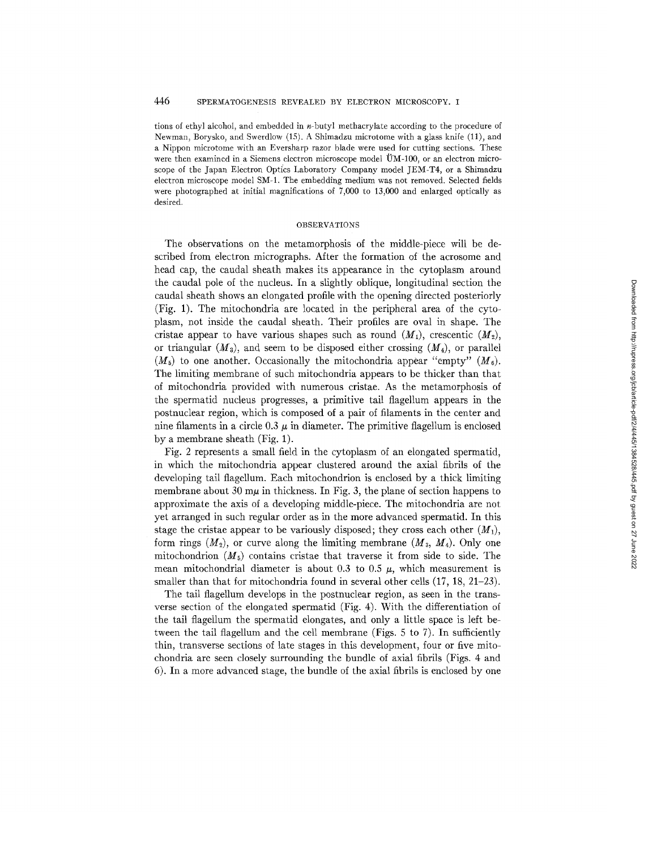tions of ethyl alcohol, and embedded in n-butyl methacrylate according to the procedure of Newman, Borysko, and Swerdlow (15). A Shimadzu microtome with a glass knife (11), and a Nippon microtome with an Eversharp razor blade were used for cutting sections. These were then examined in a Siemens electron microscope model  $\text{UM-100}$ , or an electron microscope of the Japan Electron Optics Laboratory Company model JEM-T4, or a Shimadzu electron microscope model SM-1. The embedding medium was not removed. Selected fields were photographed at initial magnifications of 7,000 to 13,000 and enlarged optically as desired.

#### OBSERVATIONS

The observations on the metamorphosis of the middle-piece will be described from electron micrographs. After the formation of the acrosome and head cap, the caudal sheath makes its appearance in the cytoplasm around the caudal pole of the nucleus. In a slightly oblique, longitudinal section the caudal sheath shows an elongated profile with the opening directed posteriorly (Fig. 1). The mitochondria are located in the peripheral area of the cytoplasm, not inside the caudal sheath. Their profiles are oval in shape. The cristae appear to have various shapes such as round  $(M_1)$ , crescentic  $(M_2)$ , or triangular  $(M_3)$ , and seem to be disposed either crossing  $(M_4)$ , or parallel  $(M_5)$  to one another. Occasionally the mitochondria appear "empty"  $(M_6)$ . The limiting membrane of such mitochondria appears to be thicker than that of mitochondria provided with numerous cristae. As the metamorphosis of the spermatid nucleus progresses, a primitive tail flagellum appears in the postnuclear region, which is composed of a pair of filaments in the center and nine filaments in a circle 0.3  $\mu$  in diameter. The primitive flagellum is enclosed by a membrane sheath (Fig. 1).

Fig. 2 represents a small field in the cytoplasm of an elongated spermatid, in which the mitochondria appear clustered around the axial fibrils of the developing tail flagellum. Each mitochondrion is enclosed by a thick limiting membrane about 30 m $\mu$  in thickness. In Fig. 3, the plane of section happens to approximate the axis of a developing middle-piece. The mitochondria are not yet arranged in such regular order as in the more advanced spermatid. In this stage the cristae appear to be variously disposed; they cross each other  $(M_1)$ , form rings  $(M_2)$ , or curve along the limiting membrane  $(M_3, M_4)$ . Only one mitochondrion  $(M_5)$  contains cristae that traverse it from side to side. The mean mitochondrial diameter is about 0.3 to 0.5  $\mu$ , which measurement is smaller than that for mitochondria found in several other cells  $(17, 18, 21-23)$ .

The tail flagellum develops in the postnuclear region, as seen in the transverse section of the elongated spermatid (Fig. 4). With the differentiation of the tail flagellum the spermatid elongates, and only a little space is left between the tail flagellum and the cell membrane (Figs. 5 to 7). In sufficiently thin, transverse sections of late stages in this development, four or five mitochondria are seen closely surrounding the bundle of axial fibrils (Figs. 4 and 6). In a more advanced stage, the bundle of the axial fibrils is enclosed by one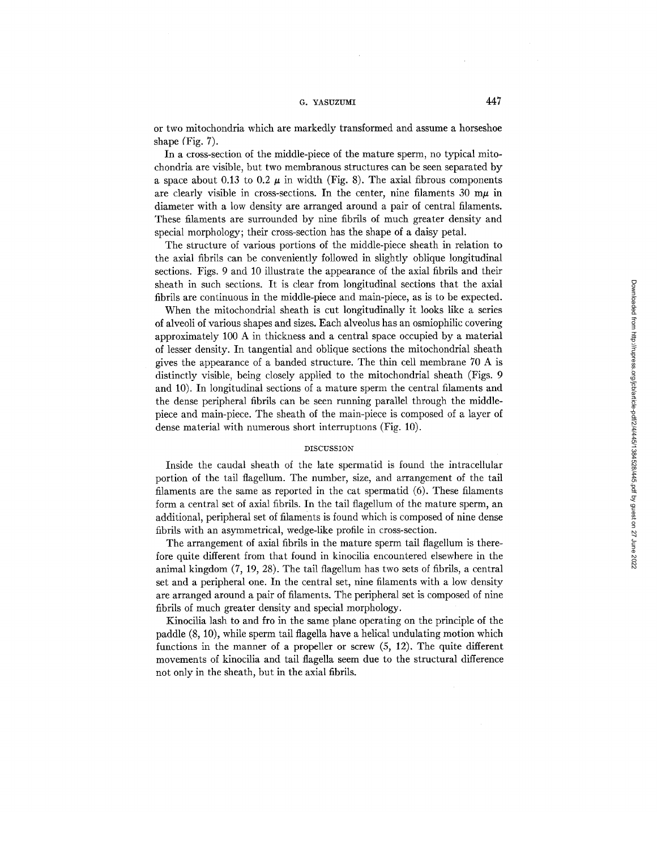## G. YASUZUMI 447

or two mitochondria which are markedly transformed and assume a horseshoe shape (Fig. 7).

In a cross-section of the middle-piece of the mature sperm, no typical mitochondria are visible, but two membranous structures can be seen separated by a space about 0.13 to 0.2  $\mu$  in width (Fig. 8). The axial fibrous components are clearly visible in cross-sections. In the center, nine filaments 30 m $\mu$  in diameter with a low density are arranged around a pair of central filaments. These filaments are surrounded by nine fibrils of much greater density and special morphology; their cross-section has the shape of a daisy petal.

The structure of various portions of the middle-piece sheath in relation to the axial fibrils can be conveniently followed in slightly oblique longitudinal sections. Figs. 9 and 10 illustrate the appearance of the axial fibrils and their sheath in such sections. It is clear from longitudinal sections that the axial fibrils are continuous in the middle-piece and main-piece, as is to be expected.

When the mitochondrial sheath is cut longitudinally it looks like a series of alveoli of various shapes and sizes. Each alveolus has an osmiophilic covering approximately 100 A in thickness and a central space occupied by a material of lesser density. In tangential and oblique sections the mitochondrial sheath gives the appearance of a banded structure. The thin cell membrane 70 A is distinctly visible, being closely applied to the mitochondrial sheath (Figs. 9 and 10). In longitudinal sections of a mature sperm the central filaments and the dense peripheral fibrils can be seen running parallel through the middlepiece and main-piece. The sheath of the main-piece is composed of a layer of dense material with numerous short interruptions (Fig. 10).

#### DISCUSSION

Inside the caudal sheath of the late spermatid is found the intracellular portion of the tail flagellum. The number, size, and arrangement of the tail filaments are the same as reported in the cat spermatid  $(6)$ . These filaments form a central set of axial fibrils. In the tail flagellum of the mature sperm, an additional, peripheral set of filaments is found which is composed of nine dense fibrils with an asymmetrical, wedge-like profile in cross-section.

The arrangement of axial fibrils in the mature sperm tail flagellum is therefore quite different from that found in kinocilia encountered elsewhere in the animal kingdom (7, 19, 28). The tail flagellum has two sets of fibrils, a central set and a peripheral one. In the central set, nine filaments with a low density are arranged around a pair of filaments. The peripheral set is composed of nine fibrils of much greater density and special morphology.

Kinocilia lash to and fro in the same plane operating on the principle of the paddle (8, 10), while sperm tail flagella have a helical undulating motion which functions in the manner of a propeller or screw (5, 12). The quite different movements of kinocilia and tail flagella seem due to the structural difference not only in the sheath, but in the axial fibrils.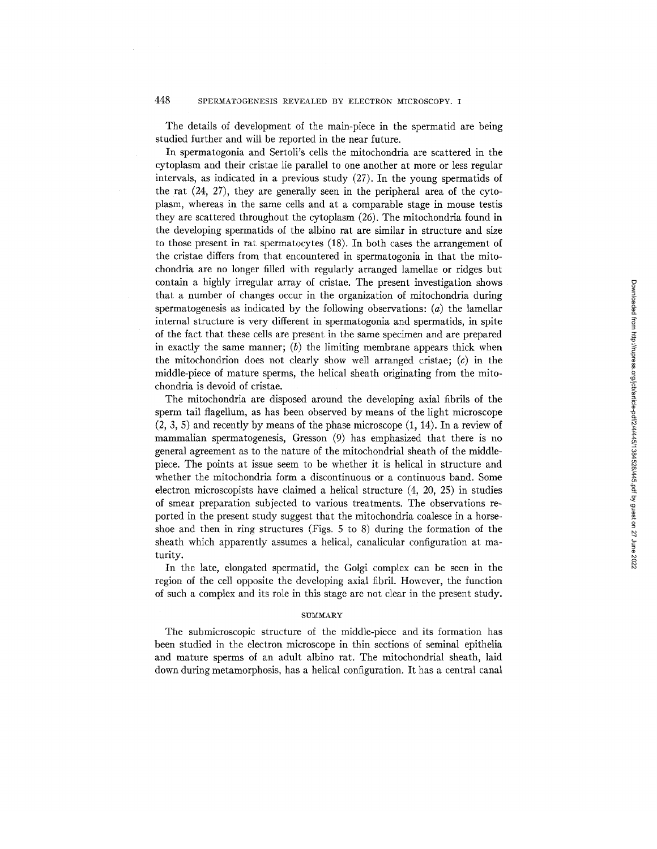The details of development of the main-piece in the spermatid are being studied further and will be reported in the near future.

In spermatogonia and Sertoli's cells the mitochondria are scattered in the cytoplasm and their cristae lie parallel to one another at more or less regular intervals, as indicated in a previous study (27). In the young spermatids of the rat (24, 27), they are generally seen in the peripheral area of the cytoplasm, whereas in the same ceils and at a comparable stage in mouse testis they are scattered throughout the cytoplasm (26). The mitochondria found in the developing spermatids of the albino rat are similar in structure and size to those present in rat spermatocytes (18). In both cases the arrangement of the cristae differs from that encountered in spermatogonia in that the mitochondria are no longer filled with regularly arranged lamellae or ridges but contain a highly irregular array of cristae. The present investigation shows that a number of changes occur in the organization of mitochondria during spermatogenesis as indicated by the following observations: (a) the lamellar internal structure is very different in spermatogonia and spermatids, in spite of the fact that these cells are present in the same specimen and are prepared in exactly the same manner;  $(b)$  the limiting membrane appears thick when the mitochondrion does not clearly show well arranged cristae;  $(c)$  in the middle-piece of mature sperms, the helical sheath originating from the mitochondria is devoid of cristae.

The mitochondria are disposed around the developing axial fibrils of the sperm tail flagellum, as has been observed by means of the light microscope (2, 3, 5) and recently by means of the phase microscope (1, 14). In a review of mammalian spermatogenesis, Gresson (9) has emphasized that there is no general agreement as to the nature of the mitochondrial sheath of the middlepiece. The points at issue seem to be whether it is helical in structure and whether the mitochondria form a discontinuous or a continuous band. Some electron microscopists have claimed a helical structure (4, 20, 25) in studies of smear preparation subjected to various treatments. The observations reported in the present study suggest that the mitochondria coalesce in a horseshoe and then in ring structures (Figs. 5 to 8) during the formation of the sheath which apparently assumes a helical, canalicular configuration at maturity.

In the late, elongated spermatid, the Golgi complex can be seen in the region of the cell opposite the developing axial fibril. However, the function of such a complex and its role in this stage are not clear in the present study.

#### SUMMARY

The submicroscopic structure of the middle-piece and its formation has been studied in the electron microscope in thin sections of seminal epithelia and mature sperms of an adult albino rat. The mitochondrial sheath, laid down during metamorphosis, has a helical configuration. It has a central canal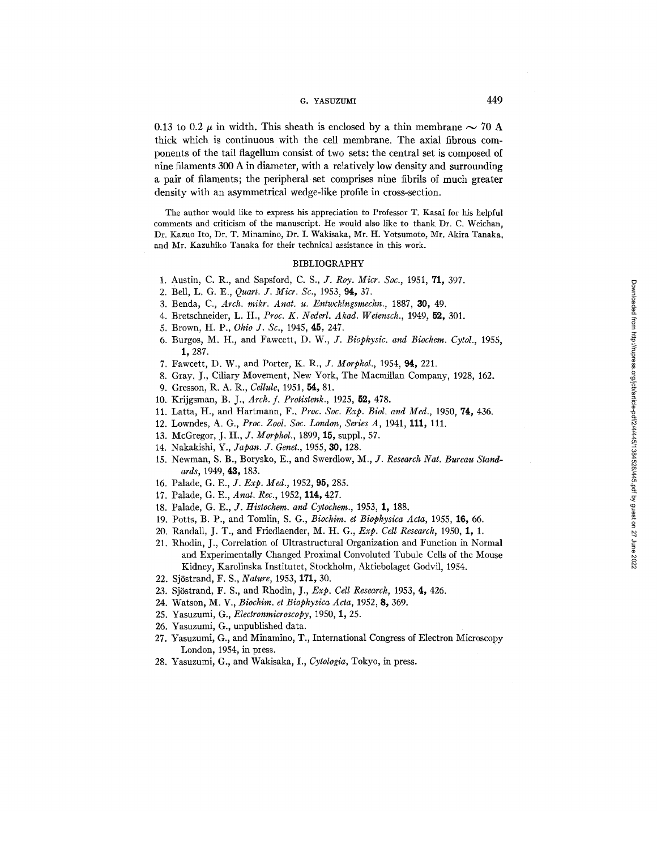## G. YASUZUMI 449

0.13 to 0.2  $\mu$  in width. This sheath is enclosed by a thin membrane  $\sim$  70 A thick which is continuous with the cell membrane. The axial fibrous components of the tail flagellum consist of two sets: the central set is composed of nine filaments 300 A in diameter, with a relatively low density and surrounding a pair of filaments; the peripheral set comprises nine fibrils of much greater density with an asymmetrical wedge-like profile in cross-section.

The author would like to express his appreciation to Professor T. Kasai for his helpful comments and criticism of the manuscript. He would also like to thank Dr. C. Weichau, Dr. Kazuo Ito, Dr. T. Minamino, Dr. I. Wakisaka, Mr. H. Yotsumoto, Mr. Akira Tanaka, and Mr. Kazuhiko Tanaka for their technical assistance in this work.

#### BIBLIOGRAPHY

- 1. Austin, C. R., and Sapsford, *C. S., Y. Roy. Micr. Soc.,* 1951, 71, 397.
- 2. Bell, L. G. E., *Quart. J. Micr. Sc.,* 1953, 94, 37.
- 3. Benda, C., *Arch. mikr. Anat. u. Entwcklngsmechn.,* 1887, 30, 49.
- 4. Bretschneider, L. H., *Proc. K. Nederl. Akad. Wetensch.,* 1949, 52, 301.
- 5. Brown, H. P., *Ohio J. Sc.,* 1945, 45, 247.
- 6. Burgos, M. H., and Fawcetl, *D. W., J. Biophysic. and Biochem. Cytol.,* 1955, 1,287.
- 7. Fawcett, D. W., and Porter, K. R., Y. *Morphol.,* 1954, 94, 221.
- 8. Gray, J., Ciliary Movement, New York, The Macmillan Company, 1928, 162.
- 9. Gresson, R. A. R., *Cellule,* 1951, 54, 81.
- 10, Krijgsman, B. J., *Arch. f. Protistenk.,* 1925, 52, 478.
- 11. Latta, H., and Hartmann, F.. *Proc. Soc. Exp. Biol. and Med.,* 1950, 74, 436.
- 12. Lowndes, A. G., *Proc. Zool. Soc. London, Series A,* 1941, 111, 111.
- 13. McGregor, *J. H., J. Morphol.,* 1899, 15, suppl., 57.
- 14. Nakakishi, *Y., Japan. J. Genet.,* 1955, 30, 128.
- 15. Newman, S. B., Borysko, E., and Swerdlow, *M., J. Research Nat. Bureau Standards,* 1949, 43, 183.
- 16. Palade, *G. E., J. Exp. Med.,* 1952, 95, 285.
- 17. Palade, G. E., *Anat. Rec.*, 1952, 114, 427.
- 18. Palade, *G. E., Y. ltistochem, and Cytochem.,* 1953, 1, 188.
- 19. Potts, B. P., and Tomlin, S. G., *Biochim. et Biophysica Acta,* 1955, 16, 66.
- 20. Randall, J. T., and Friedlaender, M. H. G., *Exp. Cell Research,* 1950, 1, 1.
- 21. Rhodin, J., Correlation of Ultrastructural Organization and Function in Normal and Experimentally Changed Proximal Convoluted Tubule Cells of the Mouse Kidney, Karolinska Institutet, Stockholm, Aktiebolaget Godvil, 1954.
- 22. Sj6strand, F. S., *Nature,* 1953, 171, 30.
- 23. Sj6strand, F. S., and Rhodin, J., *Exp. Cell Research,* 1953, 4, 426.
- 24. Watson, M. V., *Biochim. et Biophysica Acta,* 1952, 8, 369.
- 25. Yasuzumi, G., *Electronmicroscopy,* 1950, 1, 25.
- 26. Yasuzumi, G., unpublished data.
- 27. Yasuzumi, G., and Minamino, T., International Congress of Electron Microscopy London, 1954, in press.
- 28. Yasuzumi, G., and Wakisaka, I., *Cytologia,* Tokyo, in press.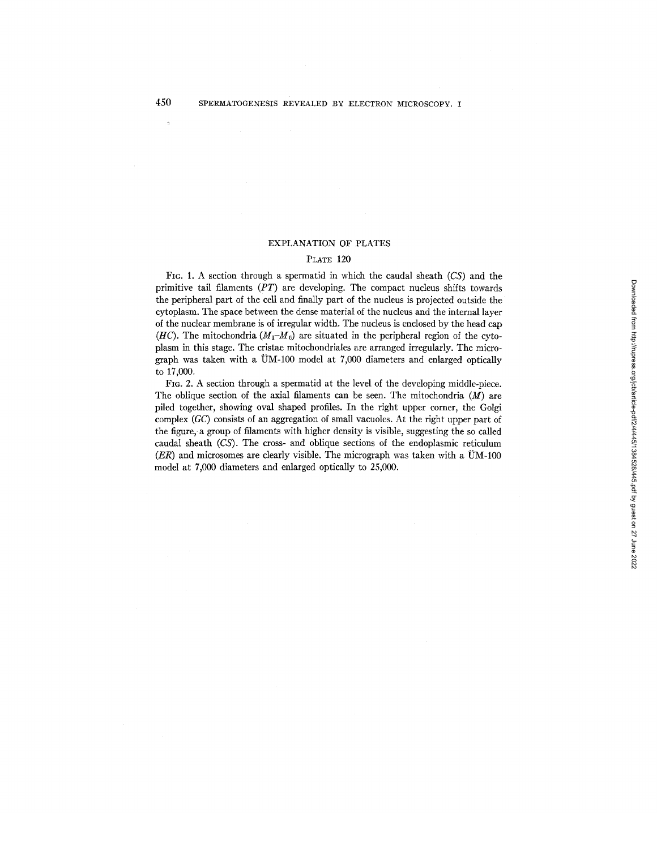### EXPLANATION OF PLATES

## PLATE 120

FIG. 1. A section through a spermatid in which the caudal sheath *(CS)* and the primitive tail filaments *(PT)* are developing. The compact nucleus shifts towards the peripheral part of the cell and finally part of the nucleus is projected outside the cytoplasm. The space between the dense material of the nucleus and the internal layer of the nuclear membrane is of irregular width. The nucleus is enclosed by the head cap *(HC)*. The mitochondria  $(M_1-M_6)$  are situated in the peripheral region of the cytoplasm in this stage. The cristae mitochondriales are arranged irregularly. The micrograph was taken with a UM-100 model at 7,000 diameters and enlarged optically to 17,000.

FIG. 2. A section through a spermatid at the level of the developing middle-piece. The oblique section of the axial filaments can be seen. The mitochondria  $(M)$  are piled together, showing oval shaped profiles. In the right upper corner, the Golgi complex *(GC)* consists of an aggregation of small vacuoles. At the right upper part of the figure, a group of filaments with higher density is visible, suggesting the so called caudal sheath *(CS).* The cross- and oblique sections of the endoplasmic reticulum *(ER)* and microsomes are clearly visible. The micrograph was taken with a UM-100 model at 7,000 diameters and enlarged optically to 25,000.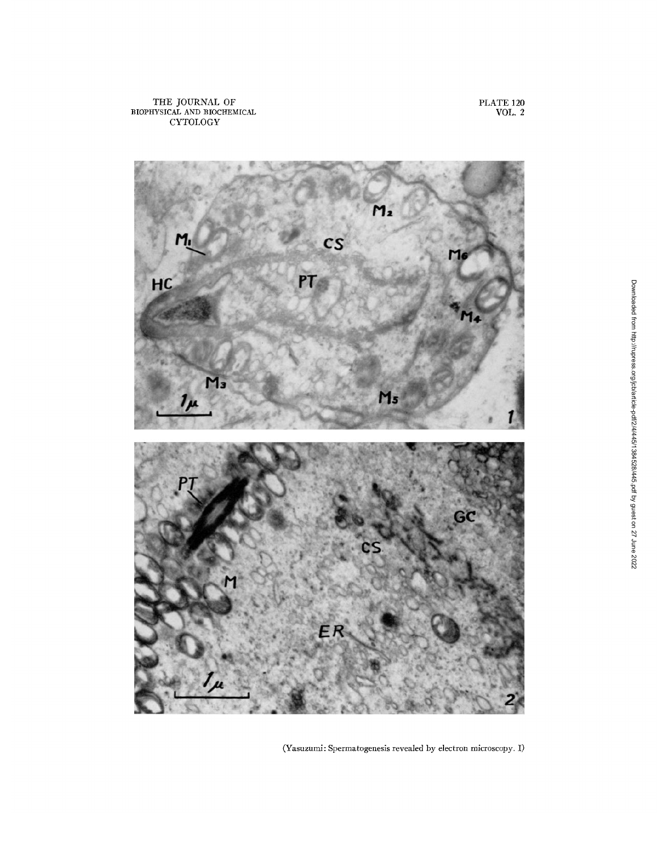**PLATE 120**  VOL, 2



(Yasuzumi: Spermatogenesis revealed by electron microscopy. I)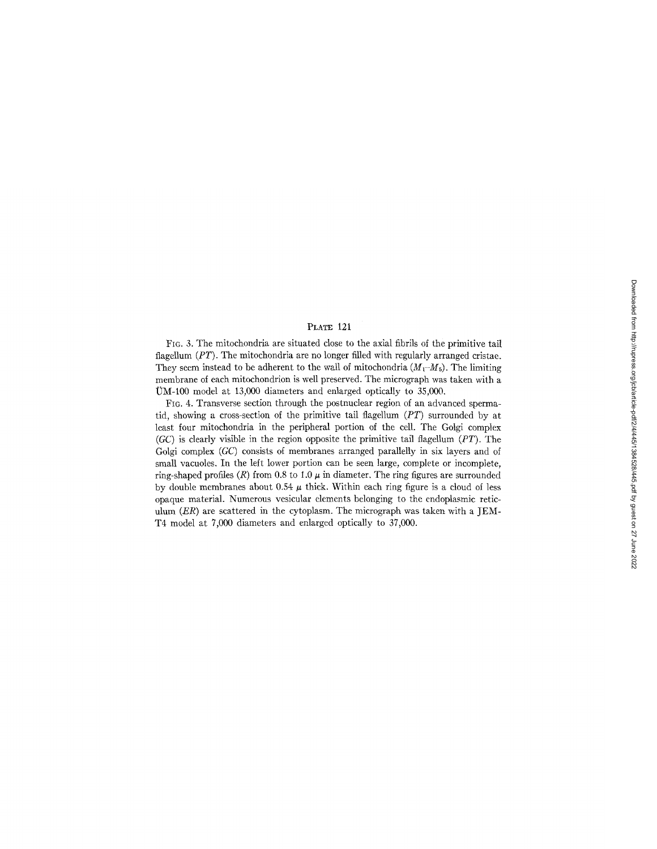#### PLATE 121

FIG. 3. The mitochondria are situated close to the axial fibrils of the primitive tail flagellum *(PT)*. The mitochondria are no longer filled with regularly arranged cristae. They seem instead to be adherent to the wall of mitochondria  $(M_1-M_5)$ . The limiting membrane of each mitochondrion is well preserved. The micrograph was taken with a  $UM-100$  model at 13,000 diameters and enlarged optically to 35,000.

FIG. 4. Transverse section through the postnuclear region of an advanced spermarid, showing a cross-section of the primitive tail flagellum *(PT)* surrounded by at least four mitochondria in the peripheral portion of the cell. The Golgi complex *(GC)* is clearly visible in the region opposite the primitive tail flagellum *(PT).* The Golgi complex *(GC)* consists of membranes arranged parallelly in six layers and of small vacuoles. In the left lower portion can be seen large, complete or incomplete, ring-shaped profiles (R) from 0.8 to 1.0  $\mu$  in diameter. The ring figures are surrounded by double membranes about 0.54  $\mu$  thick. Within each ring figure is a cloud of less opaque material. Numerous vesicular elements belonging to the endoplasmic reticulum *(ER)* are scattered in the cytoplasm. The micrograph was taken with a JEM-T4 model at 7,000 diameters and enlarged optically to 37,000.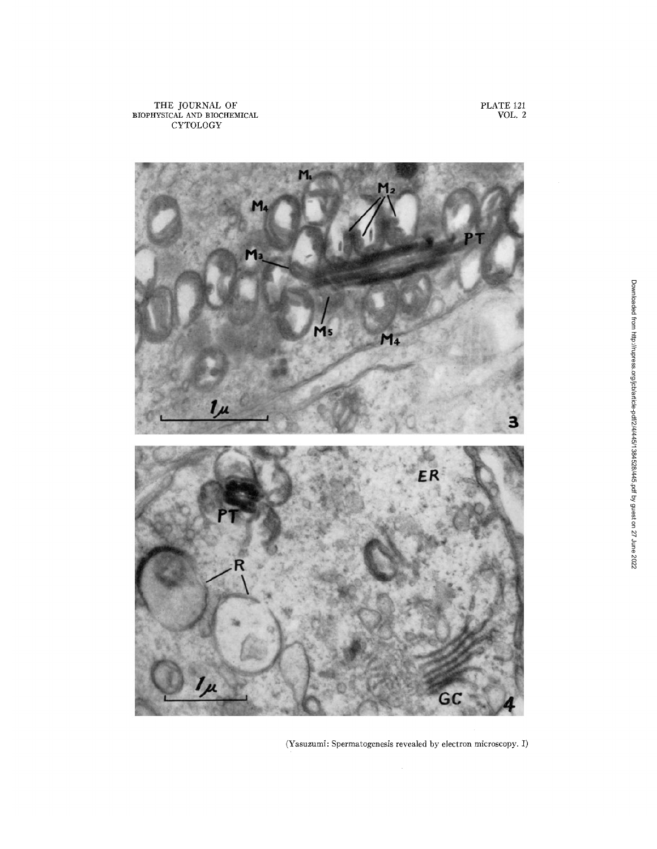PLATE 121 VOL. 2



(Yasuzumi: Spermatogenesls revealed by electron microscopy. I)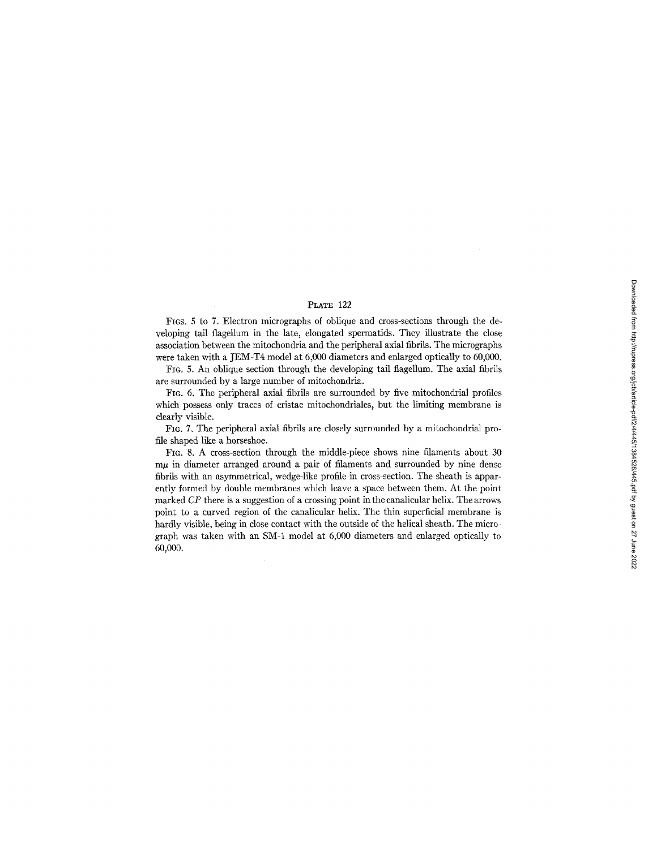## PLATE 122

FIGS. 5 to 7. Electron micrographs of oblique and cross-sections through the developing tail flagellum in the late, elongated spermatids. They illustrate the close association between the mitochondria and the peripheral axial fibrils. The micrographs were taken with a JEM-T4 model at 6,000 diameters and enlarged optically to 60,000.

FIG. 5. An oblique section through the developing tail flagellum. The axial fibrils are surrounded by a large number of mitochondria.

FIG. 6. The peripheral axial fibrils are surrounded by five mitochondrial profiles which possess only traces of cristae mitochondriales, but the limiting membrane is clearly visible.

FIG. 7. The peripheral axial fibrils are closely surrounded by a mitochondrial profile shaped like a horseshoe.

**FIG. 8. A** cross-section through the middle-piece shows nine filaments about 30  $m\mu$  in diameter arranged around a pair of filaments and surrounded by nine dense fibrils with an asymmetrical, wedge-like profile in cross-section. The sheath is apparently formed by double membranes which leave a space between them. At the point marked *CP* there is a suggestion of a crossing point in the canalicular helix. The arrows point to a curved region of the canalicular helix. The thin superficial membrane is hardly visible, being in close contact with the outside of the helical sheath. The micrograph was taken with an SM-1 model at 6,000 diameters and enlarged optically to 60,000.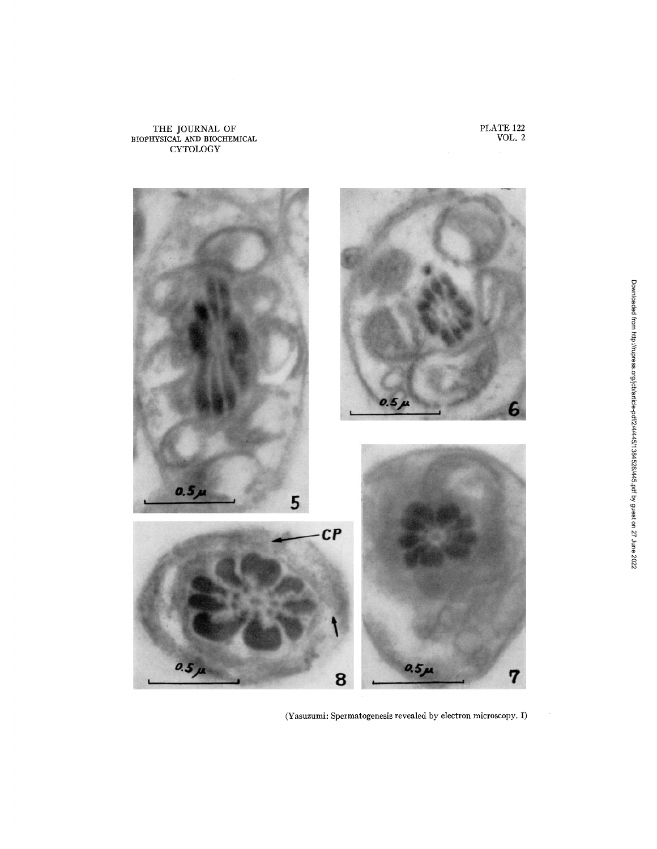

(Yasuzumi: Spermatogenesis revealed by electron microscopy. I)

 $\bar{\gamma}$ 

THE JOURNAL OF BIOPHYSICAL AND BIOCHEMICAL CYTOLOGY

PLATE 122 VOL. 2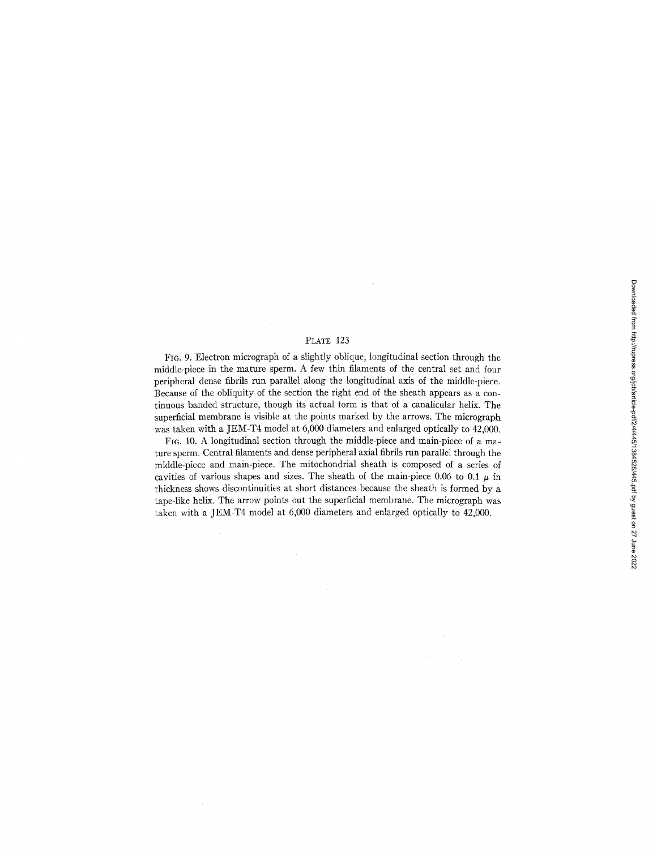## PLATE 123

FIG. 9. Electron micrograph of a slightly oblique, longitudinal section through the middle-piece in the mature sperm. A few thin filaments of the central set and four peripheral dense fibrils run parallel along the longitudinal axis of the middle-piece. Because of the obliquity of the section the right end of the sheath appears as a continuous banded structure, though its actual form is that of a canalicular helix. The superficial membrane is visible at the points marked by the arrows. The micrograph was taken with a JEM-T4 model at 6,000 diameters and enlarged optically to 42,000.

FIG. 10. A longitudinal section through the middle-piece and main-piece of a mature sperm. Central filaments and dense peripheral axial fibrils run parallel through the middle-piece and main-piece. The mitochondrial sheath is composed of a series of cavities of various shapes and sizes. The sheath of the main-piece 0.06 to 0.1  $\mu$  in thickness shows discontinuities at short distances because the sheath is formed by a tape-like helix. The arrow points out the superficial membrane. The micrograph was taken with a JEM-T4 model at 6,000 diameters and enlarged optically to 42,000.